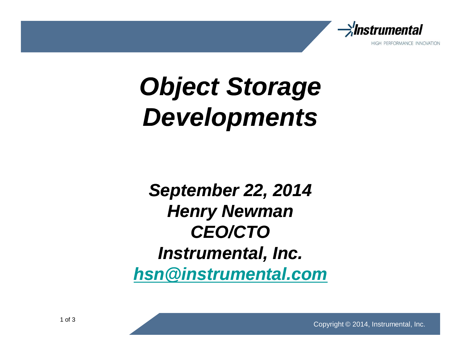

## **Object Storage Developments**

**September 22, 2014 Henry Newman CEO/CTO Instrumental, Inc. hsn@instrumental.com**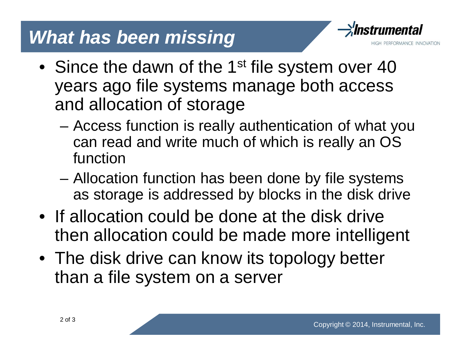## **What has been missing**



- Since the dawn of the 1<sup>st</sup> file system over 40 years ago file systems manage both access and allocation of storage
	- Access function is really authentication of what you can read and write much of which is really an OS function
	- Allocation function has been done by file systems as storage is addressed by blocks in the disk drive
- If allocation could be done at the disk drive then allocation could be made more intelligent
- The disk drive can know its topology better than a file system on a server